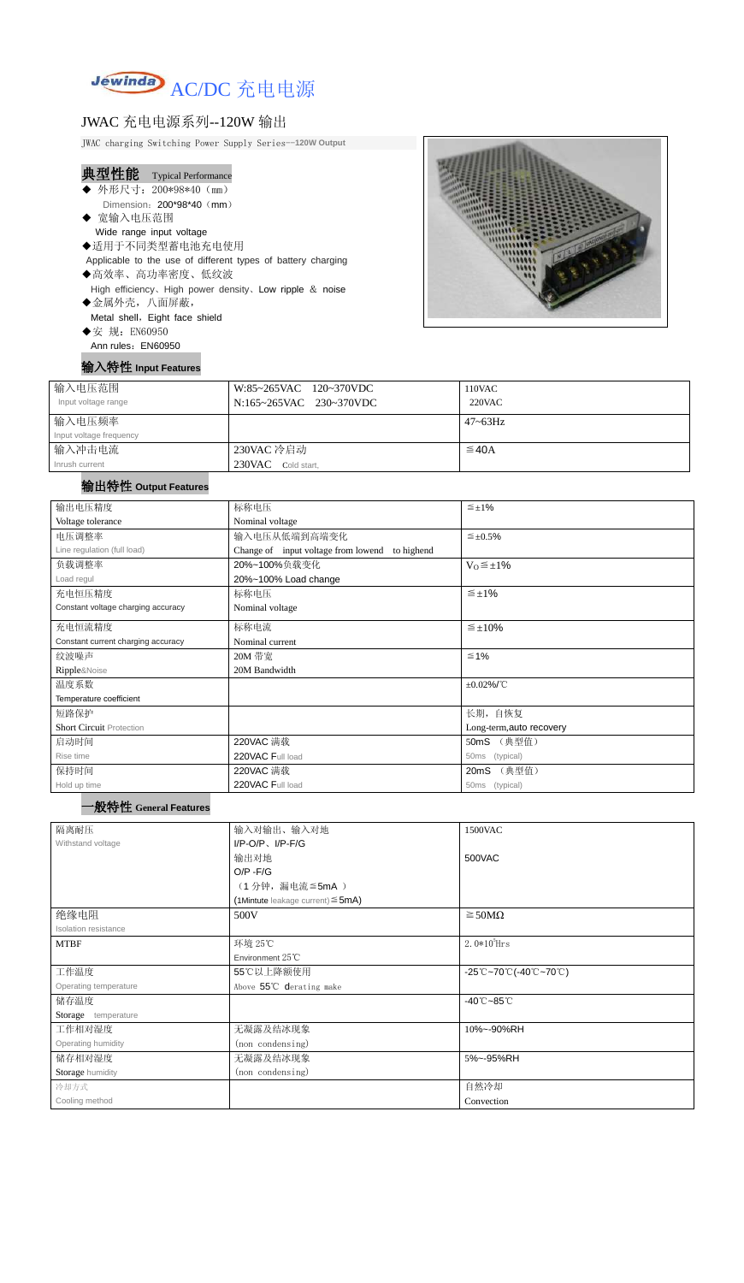

### JWAC 充电电源系列--120W 输出

JWAC charging Switching Power Supply Series--**120W Output**

### 典型性能 Typical Performance

- ◆ 外形尺寸: 200\*98\*40 (mm) Dimension: 200\*98\*40 (mm)
- ◆ 宽输入电压范围 Wide range input voltage
- ◆适用于不同类型蓄电池充电使用 Applicable to the use of different types of battery charging
- ◆高效率、高功率密度、低纹波 High efficiency、High power density、Low ripple & noise
- ◆金属外壳,八面屏蔽, Metal shell, Eight face shield
- ◆安 规: EN60950 Ann rules: EN60950
- 输入特性 **Input Features**



| 输入电压范围<br>Input voltage range | W:85~265VAC 120~370VDC<br>N:165~265VAC 230~370VDC | 110VAC<br>$220$ VAC |
|-------------------------------|---------------------------------------------------|---------------------|
| 输入电压频率                        |                                                   | $47 - 63$ Hz        |
| Input voltage frequency       |                                                   |                     |
| 输入冲击电流                        | 230VAC 冷启动                                        | $\leq$ 40A          |
| Inrush current                | 230VAC Cold start,                                |                     |

#### 输出特性 **Output Features**

#### 一般特性 **General Features**

| 输出电压精度                             | 标称电压<br>$\leq \pm 1\%$                            |                               |  |  |
|------------------------------------|---------------------------------------------------|-------------------------------|--|--|
| Voltage tolerance                  | Nominal voltage                                   |                               |  |  |
| 电压调整率                              | 输入电压从低端到高端变化                                      | $\leq \pm 0.5\%$              |  |  |
| Line regulation (full load)        | Change of input voltage from lowend<br>to highend |                               |  |  |
| 负载调整率                              | $V_0 \leq \pm 1\%$<br>20%~100%负载变化                |                               |  |  |
| Load regul                         | 20%~100% Load change                              |                               |  |  |
| 充电恒压精度                             | 标称电压                                              | $\leq \pm 1\%$                |  |  |
| Constant voltage charging accuracy | Nominal voltage                                   |                               |  |  |
| 充电恒流精度                             | 标称电流<br>$\leq \pm 10\%$                           |                               |  |  |
| Constant current charging accuracy | Nominal current                                   |                               |  |  |
| 纹波噪声                               | 20M 带宽                                            | $≤ 1%$                        |  |  |
| Ripple&Noise                       | 20M Bandwidth                                     |                               |  |  |
| 温度系数                               |                                                   | $\pm 0.02\%$ /°C              |  |  |
| Temperature coefficient            |                                                   |                               |  |  |
| 短路保护                               |                                                   | 长期, 自恢复                       |  |  |
| <b>Short Circuit Protection</b>    |                                                   | Long-term, auto recovery      |  |  |
| 启动时间                               | 220VAC 满载<br>(典型值)<br>50mS                        |                               |  |  |
| Rise time                          | 220VAC Full load                                  | (typical)<br>50 <sub>ms</sub> |  |  |
| 保持时间                               | 220VAC 满载<br>(典型值)<br>20mS                        |                               |  |  |
| Hold up time                       | 220VAC Full load<br>50ms (typical)                |                               |  |  |

| 隔离耐压                  | 输入对输出、输入对地<br>1500VAC                     |                                                                                               |  |
|-----------------------|-------------------------------------------|-----------------------------------------------------------------------------------------------|--|
| Withstand voltage     | $I/P-O/P$ , $I/P-F/G$                     |                                                                                               |  |
|                       | 输出对地                                      | 500VAC                                                                                        |  |
|                       | $O/P - F/G$                               |                                                                                               |  |
|                       | (1分钟,漏电流≦5mA)                             |                                                                                               |  |
|                       | $(1$ Mintute leakage current) $\leq$ 5mA) |                                                                                               |  |
| 绝缘电阻                  | $\geq$ 50M $\Omega$<br>500V               |                                                                                               |  |
| Isolation resistance  |                                           |                                                                                               |  |
| <b>MTBF</b>           | 环境 25℃                                    | 2. $0*10^5$ Hrs                                                                               |  |
|                       | Environment $25^{\circ}$ C                |                                                                                               |  |
| 工作温度                  | 55℃以上降额使用                                 | $-25^{\circ}\text{C}$ ~70 $^{\circ}\text{C}$ (-40 $^{\circ}\text{C}$ ~70 $^{\circ}\text{C}$ ) |  |
| Operating temperature | Above 55°C derating make                  |                                                                                               |  |
| 储存温度                  |                                           | $-40^{\circ}$ C $-85^{\circ}$ C                                                               |  |
| Storage temperature   |                                           |                                                                                               |  |
| 工作相对湿度                | 无凝露及结冰现象                                  | 10%~-90%RH                                                                                    |  |
| Operating humidity    | (non condensing)                          |                                                                                               |  |
| 储存相对湿度                | 无凝露及结冰现象                                  | 5%~-95%RH                                                                                     |  |
| Storage humidity      | (non condensing)                          |                                                                                               |  |
| 冷却方式                  |                                           | 自然冷却                                                                                          |  |
| Cooling method        |                                           | Convection                                                                                    |  |